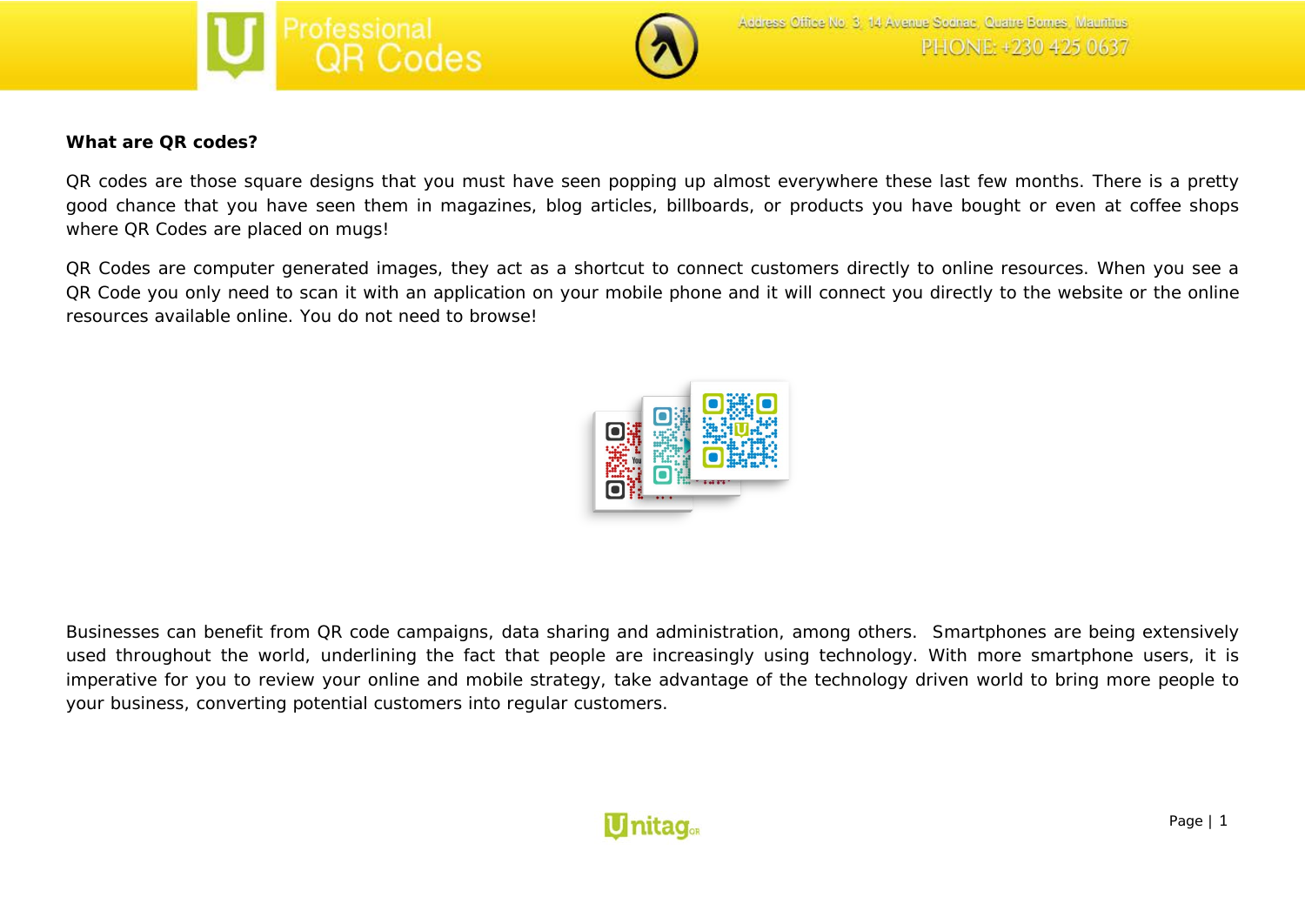



### **What are QR codes?**

QR codes are those square designs that you must have seen popping up almost everywhere these last few months. There is a pretty good chance that you have seen them in magazines, blog articles, billboards, or products you have bought or even at coffee shops where QR Codes are placed on mugs!

QR Codes are computer generated images, they act as a shortcut to connect customers directly to online resources. When you see a QR Code you only need to scan it with an application on your mobile phone and it will connect you directly to the website or the online resources available online. You do not need to browse!



Businesses can benefit from QR code campaigns, data sharing and administration, among others. Smartphones are being extensively used throughout the world, underlining the fact that people are increasingly using technology. With more smartphone users, it is imperative for you to review your online and mobile strategy, take advantage of the technology driven world to bring more people to your business, converting potential customers into regular customers.

# **U**nitag.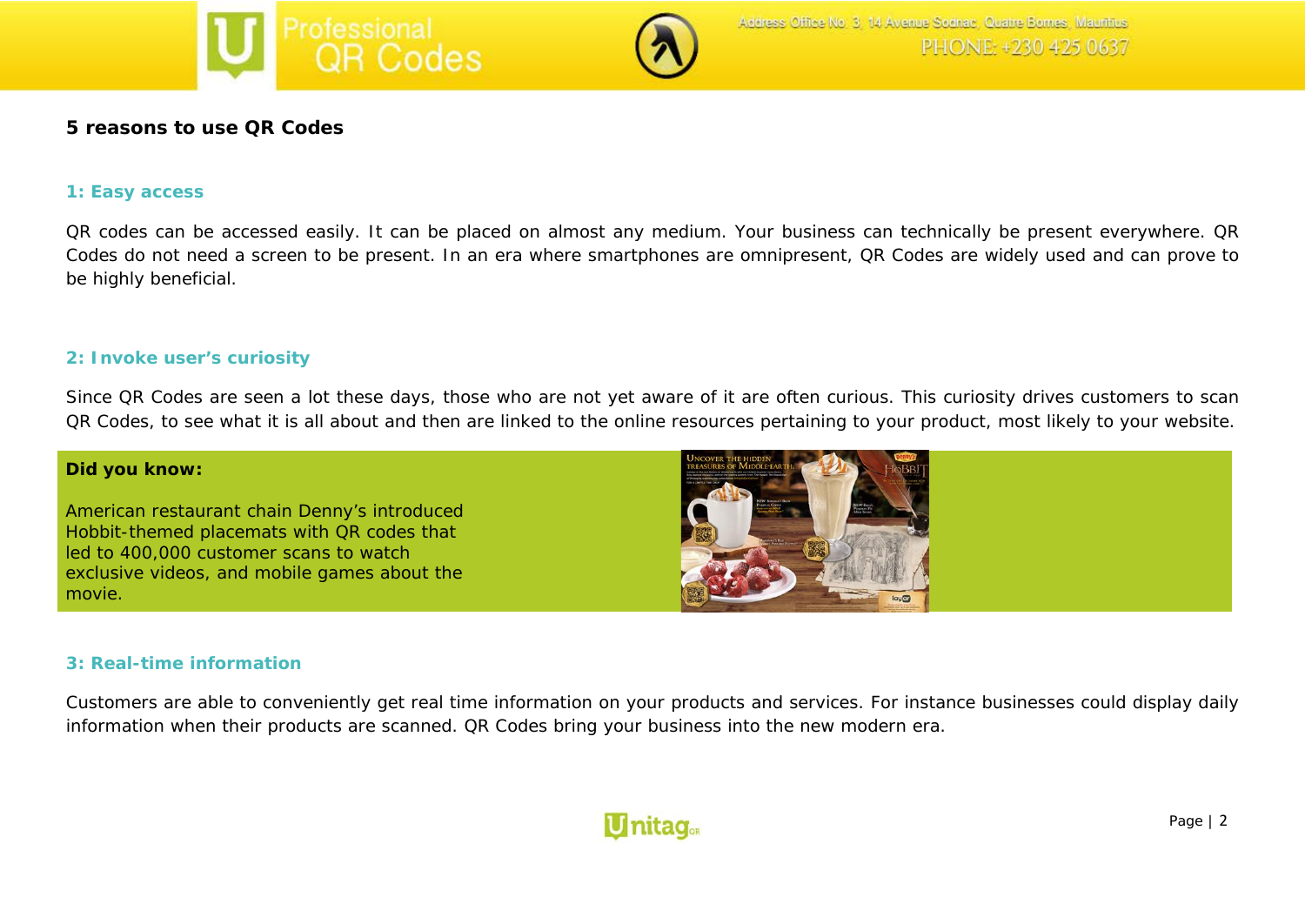



# **5 reasons to use QR Codes**

#### **1: Easy access**

*QR codes can be accessed easily. It can be placed on almost any medium. Your business can technically be present everywhere. QR Codes do not need a screen to be present. In an era where smartphones are omnipresent, QR Codes are widely used and can prove to be highly beneficial.*

#### **2: Invoke user's curiosity**

*Since QR Codes are seen a lot these days, those who are not yet aware of it are often curious. This curiosity drives customers to scan QR Codes, to see what it is all about and then are linked to the online resources pertaining to your product, most likely to your website.*

#### **Did you know:**

American restaurant chain Denny's introduced Hobbit-themed placemats with QR codes that led to 400,000 customer scans to watch exclusive videos, and mobile games about the movie.



# **3: Real-time information**

*Customers are able to conveniently get real time information on your products and services. For instance businesses could display daily information when their products are scanned. QR Codes bring your business into the new modern era.* 

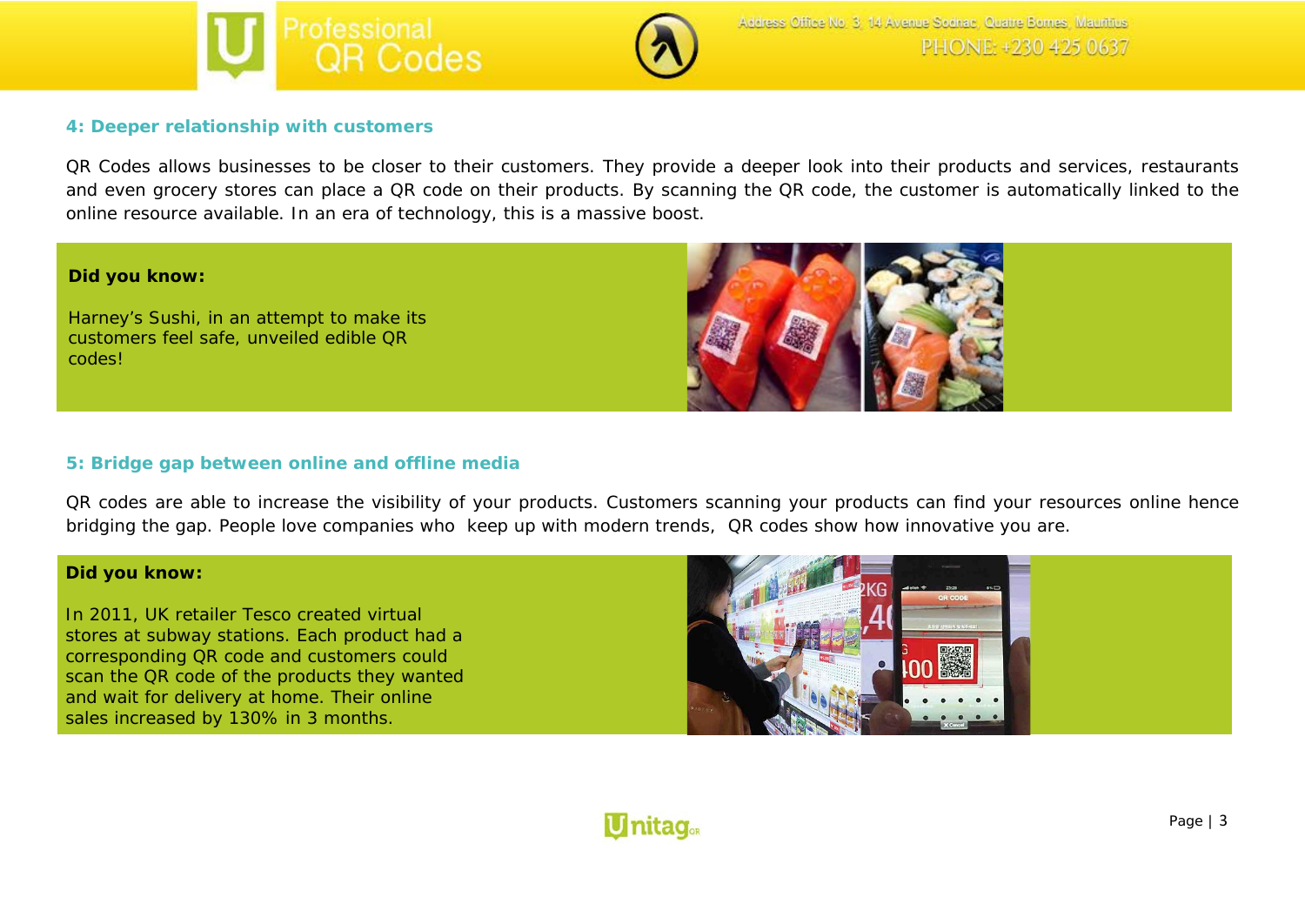



#### **4: Deeper relationship with customers**

*QR Codes allows businesses to be closer to their customers. They provide a deeper look into their products and services, restaurants and even grocery stores can place a QR code on their products. By scanning the QR code, the customer is automatically linked to the online resource available. In an era of technology, this is a massive boost.*

#### **Did you know:**

Harney's Sushi, in an attempt to make its customers feel safe, unveiled edible QR codes!



#### **5: Bridge gap between online and offline media**

QR codes are able to increase the visibility of your products. Customers scanning your products can find your resources online hence bridging the gap. People love companies who keep up with modern trends, QR codes show how innovative you are.

#### **Did you know:**

In 2011, UK retailer Tesco created virtual stores at subway stations. Each product had a corresponding QR code and customers could scan the QR code of the products they wanted and wait for delivery at home. Their online sales increased by 130% in 3 months.



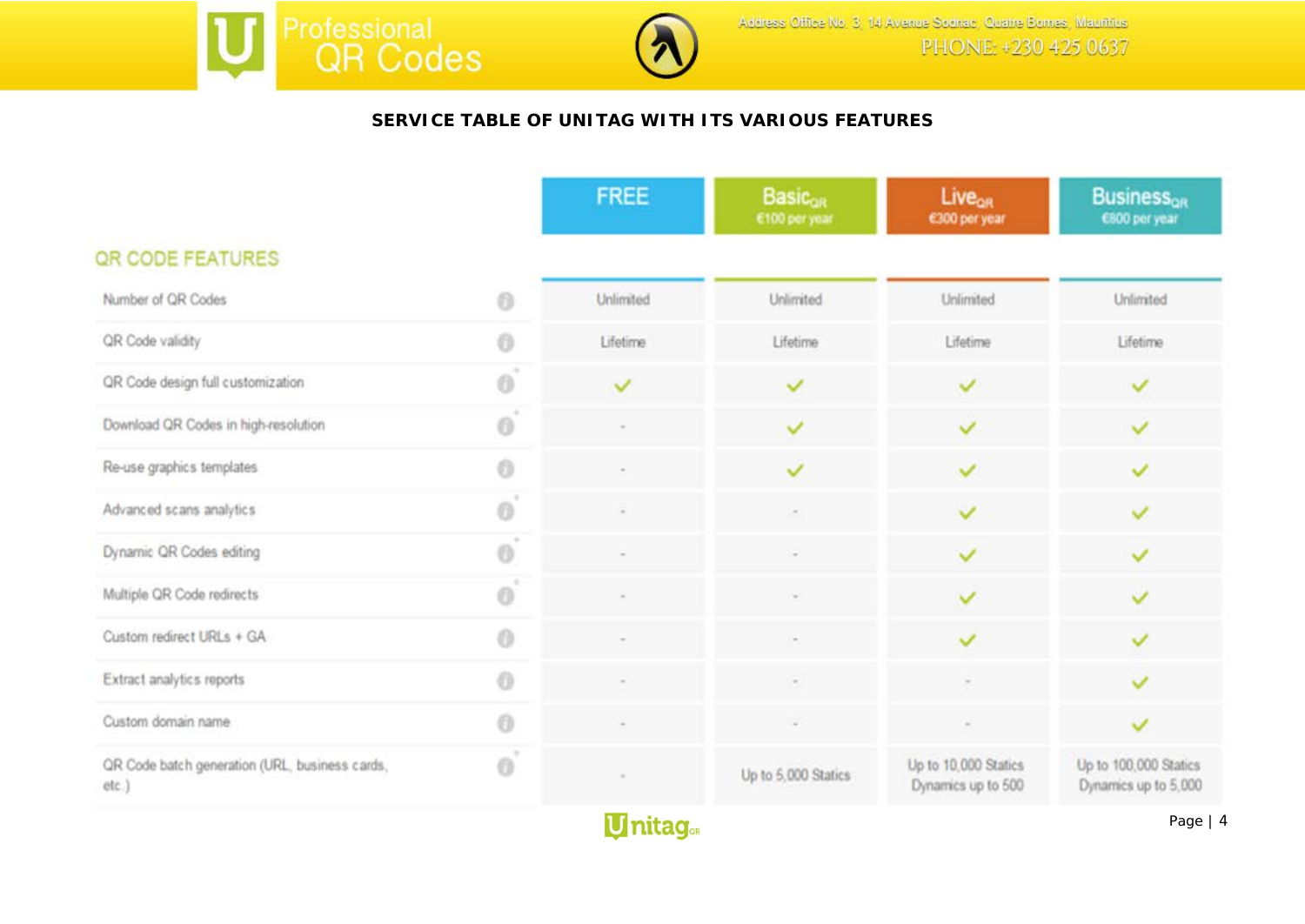



# **SERVICE TABLE OF UNITAG WITH ITS VARIOUS FEATURES**

|                                                         |          | <b>FREE</b>  | <b>Basicon</b><br>€100 per year | <b>Live<sub>on</sub></b><br>€300 per year  | <b>Business<sub>or</sub></b><br>6800 per year |
|---------------------------------------------------------|----------|--------------|---------------------------------|--------------------------------------------|-----------------------------------------------|
| QR CODE FEATURES                                        |          |              |                                 |                                            |                                               |
| Number of QR Codes                                      | 6        | Unlimited    | Unlimited                       | Unlimited                                  | Unlimited                                     |
| QR Code validity                                        | 0        | Lifetime     | Lifetime                        | Lifetime                                   | Lifetime                                      |
| QR Code design full customization                       | 6        | $\checkmark$ | ✓                               | ◡                                          |                                               |
| Download QR Codes in high-resolution                    | $\odot$  | $\sim$       | v                               | $\checkmark$                               | $\checkmark$                                  |
| Re-use graphics templates                               | a        |              | ✓                               | ✓                                          | $\checkmark$                                  |
| Advanced scans analytics                                | 0        | $\sim$       | $\sim$                          | $\checkmark$                               | $\checkmark$                                  |
| Dynamic QR Codes editing                                | ö        | ÷            | $\sim$                          | $\checkmark$                               | $\checkmark$                                  |
| Multiple QR Code redirects                              | $\theta$ |              | $\sim$                          | $\checkmark$                               | $\checkmark$                                  |
| Custom redirect URLs + GA                               | 0        |              | $\sim$                          | ✓                                          | v                                             |
| Extract analytics reports                               | $\odot$  |              | $\sim$                          |                                            | ◡                                             |
| Custom domain name                                      | 0        | ٠            | ×                               |                                            | $\checkmark$                                  |
| QR Code batch generation (URL, business cards,<br>etc.) | O        |              | Up to 5,000 Statics             | Up to 10,000 Statics<br>Dynamics up to 500 | Up to 100,000 Statics<br>Dynamics up to 5,000 |

**Unitag**<sub>®R</sub>

Page | 4